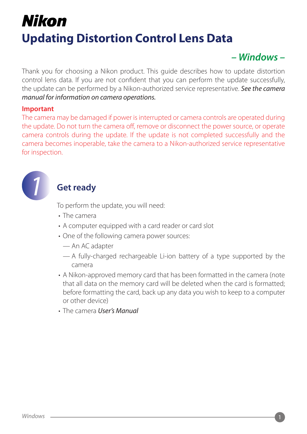## Nikon **Updating Distortion Control Lens Data**

## *– Windows –*

Thank you for choosing a Nikon product. This quide describes how to update distortion control lens data. If you are not confident that you can perform the update successfully, the update can be performed by a Nikon-authorized service representative. See the camera *manual for information on camera operations.* 

#### **Important**

The camera may be damaged if power is interrupted or camera controls are operated during the update. Do not turn the camera off, remove or disconnect the power source, or operate camera controls during the update. If the update is not completed successfully and the camera becomes inoperable, take the camera to a Nikon-authorized service representative for inspection.



## **Get ready**

To perform the update, you will need:

- The camera
- A computer equipped with a card reader or card slot
- One of the following camera power sources:
	- An AC adapter
	- $\overline{a}$  by supported by the battery of a type supported by the camera
- A Nikon-approved memory card that has been formatted in the camera (note that all data on the memory card will be deleted when the card is formatted; before formatting the card, back up any data you wish to keep to a computer or other device)
- The camera *User's Manual*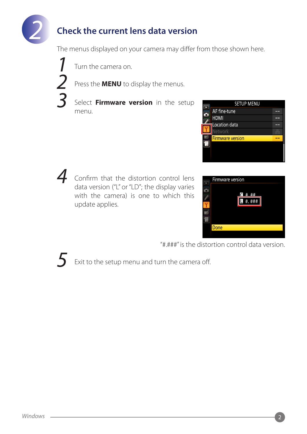

## **Check the current lens data version**

The menus displayed on your camera may differ from those shown here.

 *1 2 3*

Turn the camera on.

Press the **MENU** to display the menus.

Select **Firmware version** in the setup .menu



Confirm that the distortion control lens *4* data version ("L" or "LD"; the display varies with the camera) is one to which this update applies.



"#.###" is the distortion control data version.



Exit to the setup menu and turn the camera off.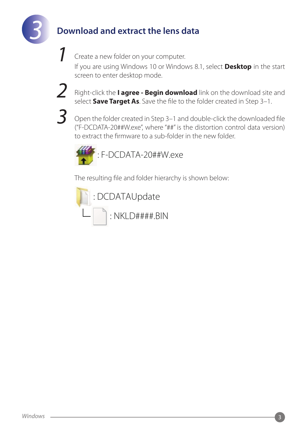

## **Download and extract the lens data**

Create a new folder on your computer.

If you are using Windows 10 or Windows 8.1, select **Desktop** in the start screen to enter desktop mode.



*1*

Right-click the **I agree - Begin download** link on the download site and select **Save Target As**. Save the file to the folder created in Step 3-1.



Open the folder created in Step 3–1 and double-click the downloaded file ("F-DCDATA-20##W.exe", where "##" is the distortion control data version) to extract the firmware to a sub-folder in the new folder.



The resulting file and folder hierarchy is shown below:

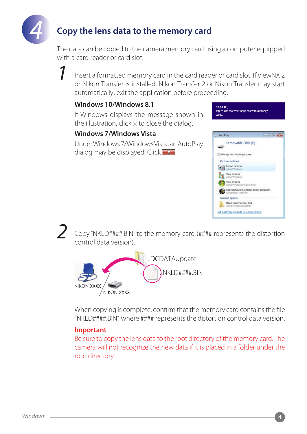

*1*

*2*

## **Copy the lens data to the memory card**

The data can be copied to the camera memory card using a computer equipped with a card reader or card slot.

Insert a formatted memory card in the card reader or card slot. If ViewNX 2 or Nikon Transfer is installed, Nikon Transfer 2 or Nikon Transfer may start automatically; exit the application before proceeding.

#### **8.1 Windows10/ Windows**

If Windows displays the message shown in the illustration, click  $\times$  to close the dialog.

#### **Windows 7/ Windows Vista**

Under Windows 7/ Windows Vista, an Auto Play dialog may be displayed. Click  $\mathbf{x}$ 



Copy "NKLD####.BIN" to the memory card (#### represents the distortion control data version).



When copying is complete, confirm that the memory card contains the file "NKLD####.BIN", where #### represents the distortion control data version.

#### **Important**

Be sure to copy the lens data to the root directory of the memory card. The camera will not recognize the new data if it is placed in a folder under the root directory.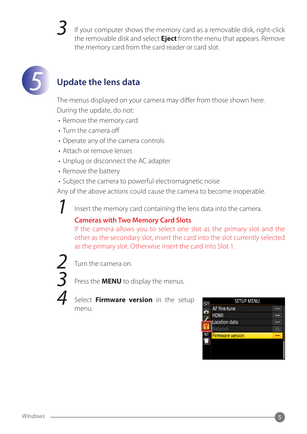# *3*

If your computer shows the memory card as a removable disk, right-click the removable disk and select **Eject** from the menu that appears. Remove the memory card from the card reader or card slot.



## **Update the lens data**

The menus displayed on your camera may differ from those shown here. During the update, do not:

- Remove the memory card
- Turn the camera off
- Operate any of the camera controls
- Attach or remove lenses
- Unplug or disconnect the AC adapter
- Remove the battery
- Subject the camera to powerful electromagnetic noise

Any of the above actions could cause the camera to become inoperable.

Insert the memory card containing the lens data into the camera.

### **Cameras with Two Memory Card Slots**

If the camera allows you to select one slot as the primary slot and the other as the secondary slot, insert the card into the slot currently selected as the primary slot. Otherwise insert the card into Slot 1.



*1*

Turn the camera on.

Press the **MENU** to display the menus.

Select **Firmware version** in the setup .menu